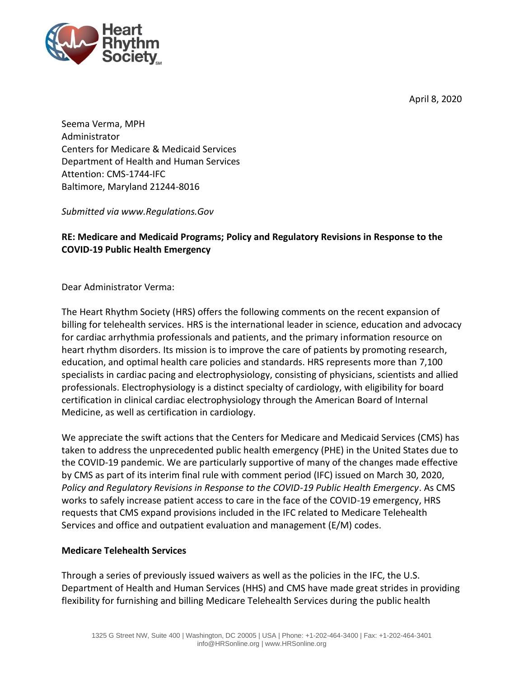April 8, 2020



Seema Verma, MPH Administrator Centers for Medicare & Medicaid Services Department of Health and Human Services Attention: CMS-1744-IFC Baltimore, Maryland 21244-8016

*Submitted via www.Regulations.Gov*

## **RE: Medicare and Medicaid Programs; Policy and Regulatory Revisions in Response to the COVID-19 Public Health Emergency**

Dear Administrator Verma:

The Heart Rhythm Society (HRS) offers the following comments on the recent expansion of billing for telehealth services. HRS is the international leader in science, education and advocacy for cardiac arrhythmia professionals and patients, and the primary information resource on heart rhythm disorders. Its mission is to improve the care of patients by promoting research, education, and optimal health care policies and standards. HRS represents more than 7,100 specialists in cardiac pacing and electrophysiology, consisting of physicians, scientists and allied professionals. Electrophysiology is a distinct specialty of cardiology, with eligibility for board certification in clinical cardiac electrophysiology through the American Board of Internal Medicine, as well as certification in cardiology.

We appreciate the swift actions that the Centers for Medicare and Medicaid Services (CMS) has taken to address the unprecedented public health emergency (PHE) in the United States due to the COVID-19 pandemic. We are particularly supportive of many of the changes made effective by CMS as part of its interim final rule with comment period (IFC) issued on March 30, 2020, *Policy and Regulatory Revisions in Response to the COVID-19 Public Health Emergency*. As CMS works to safely increase patient access to care in the face of the COVID-19 emergency, HRS requests that CMS expand provisions included in the IFC related to Medicare Telehealth Services and office and outpatient evaluation and management (E/M) codes.

## **Medicare Telehealth Services**

Through a series of previously issued waivers as well as the policies in the IFC, the U.S. Department of Health and Human Services (HHS) and CMS have made great strides in providing flexibility for furnishing and billing Medicare Telehealth Services during the public health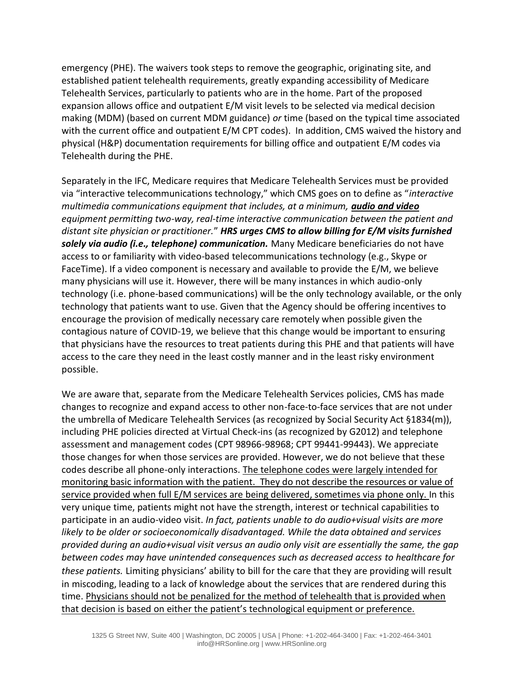emergency (PHE). The waivers took steps to remove the geographic, originating site, and established patient telehealth requirements, greatly expanding accessibility of Medicare Telehealth Services, particularly to patients who are in the home. Part of the proposed expansion allows office and outpatient E/M visit levels to be selected via medical decision making (MDM) (based on current MDM guidance) *or* time (based on the typical time associated with the current office and outpatient E/M CPT codes). In addition, CMS waived the history and physical (H&P) documentation requirements for billing office and outpatient E/M codes via Telehealth during the PHE.

Separately in the IFC, Medicare requires that Medicare Telehealth Services must be provided via "interactive telecommunications technology," which CMS goes on to define as "*interactive multimedia communications equipment that includes, at a minimum, audio and video equipment permitting two-way, real-time interactive communication between the patient and distant site physician or practitioner.*" *HRS urges CMS to allow billing for E/M visits furnished solely via audio (i.e., telephone) communication.* Many Medicare beneficiaries do not have access to or familiarity with video-based telecommunications technology (e.g., Skype or FaceTime). If a video component is necessary and available to provide the E/M, we believe many physicians will use it. However, there will be many instances in which audio-only technology (i.e. phone-based communications) will be the only technology available, or the only technology that patients want to use. Given that the Agency should be offering incentives to encourage the provision of medically necessary care remotely when possible given the contagious nature of COVID-19, we believe that this change would be important to ensuring that physicians have the resources to treat patients during this PHE and that patients will have access to the care they need in the least costly manner and in the least risky environment possible.

We are aware that, separate from the Medicare Telehealth Services policies, CMS has made changes to recognize and expand access to other non-face-to-face services that are not under the umbrella of Medicare Telehealth Services (as recognized by Social Security Act §1834(m)), including PHE policies directed at Virtual Check-ins (as recognized by G2012) and telephone assessment and management codes (CPT 98966-98968; CPT 99441-99443). We appreciate those changes for when those services are provided. However, we do not believe that these codes describe all phone-only interactions. The telephone codes were largely intended for monitoring basic information with the patient. They do not describe the resources or value of service provided when full E/M services are being delivered, sometimes via phone only. In this very unique time, patients might not have the strength, interest or technical capabilities to participate in an audio-video visit. *In fact, patients unable to do audio+visual visits are more likely to be older or socioeconomically disadvantaged. While the data obtained and services provided during an audio+visual visit versus an audio only visit are essentially the same, the gap between codes may have unintended consequences such as decreased access to healthcare for these patients.* Limiting physicians' ability to bill for the care that they are providing will result in miscoding, leading to a lack of knowledge about the services that are rendered during this time. Physicians should not be penalized for the method of telehealth that is provided when that decision is based on either the patient's technological equipment or preference.